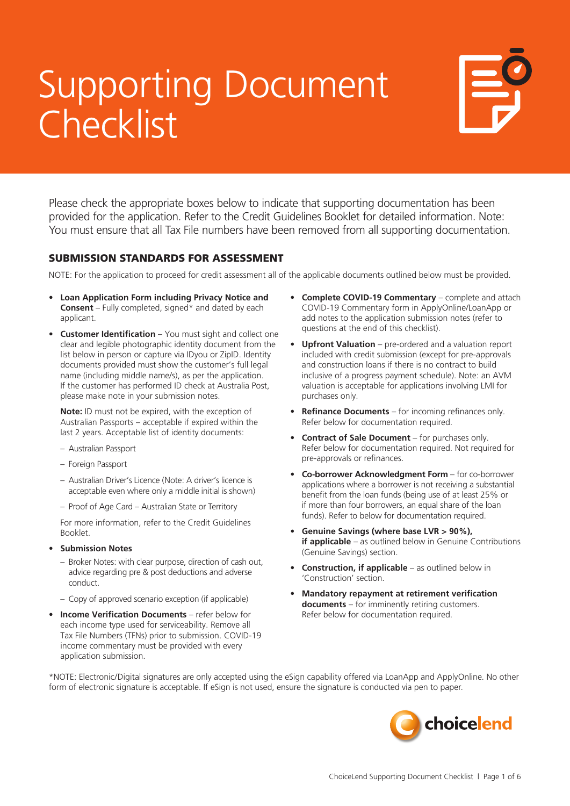## Supporting Document Checklist



Please check the appropriate boxes below to indicate that supporting documentation has been provided for the application. Refer to the Credit Guidelines Booklet for detailed information. Note: You must ensure that all Tax File numbers have been removed from all supporting documentation.

### SUBMISSION STANDARDS FOR ASSESSMENT

NOTE: For the application to proceed for credit assessment all of the applicable documents outlined below must be provided.

- **• Loan Application Form including Privacy Notice and Consent** – Fully completed, signed\* and dated by each applicant.
- **• Customer Identification** You must sight and collect one clear and legible photographic identity document from the list below in person or capture via IDyou or ZipID. Identity documents provided must show the customer's full legal name (including middle name/s), as per the application. If the customer has performed ID check at Australia Post, please make note in your submission notes.

**Note:** ID must not be expired, with the exception of Australian Passports – acceptable if expired within the last 2 years. Acceptable list of identity documents:

- Australian Passport
- Foreign Passport
- Australian Driver's Licence (Note: A driver's licence is acceptable even where only a middle initial is shown)
- Proof of Age Card Australian State or Territory

For more information, refer to the Credit Guidelines Booklet.

- **• Submission Notes**
	- Broker Notes: with clear purpose, direction of cash out, advice regarding pre & post deductions and adverse conduct.
	- Copy of approved scenario exception (if applicable)
- **• Income Verification Documents** refer below for each income type used for serviceability. Remove all Tax File Numbers (TFNs) prior to submission. COVID-19 income commentary must be provided with every application submission.
- **• Complete COVID-19 Commentary** complete and attach COVID-19 Commentary form in ApplyOnline/LoanApp or add notes to the application submission notes (refer to questions at the end of this checklist).
- **• Upfront Valuation** pre-ordered and a valuation report included with credit submission (except for pre-approvals and construction loans if there is no contract to build inclusive of a progress payment schedule). Note: an AVM valuation is acceptable for applications involving LMI for purchases only.
- **• Refinance Documents** for incoming refinances only. Refer below for documentation required.
- **• Contract of Sale Document** for purchases only. Refer below for documentation required. Not required for pre-approvals or refinances.
- **• Co-borrower Acknowledgment Form** for co-borrower applications where a borrower is not receiving a substantial benefit from the loan funds (being use of at least 25% or if more than four borrowers, an equal share of the loan funds). Refer to below for documentation required.
- **• Genuine Savings (where base LVR > 90%), if applicable** – as outlined below in Genuine Contributions (Genuine Savings) section.
- **Construction, if applicable** as outlined below in 'Construction' section.
- **• Mandatory repayment at retirement verification documents** – for imminently retiring customers. Refer below for documentation required.

\*NOTE: Electronic/Digital signatures are only accepted using the eSign capability offered via LoanApp and ApplyOnline. No other form of electronic signature is acceptable. If eSign is not used, ensure the signature is conducted via pen to paper.

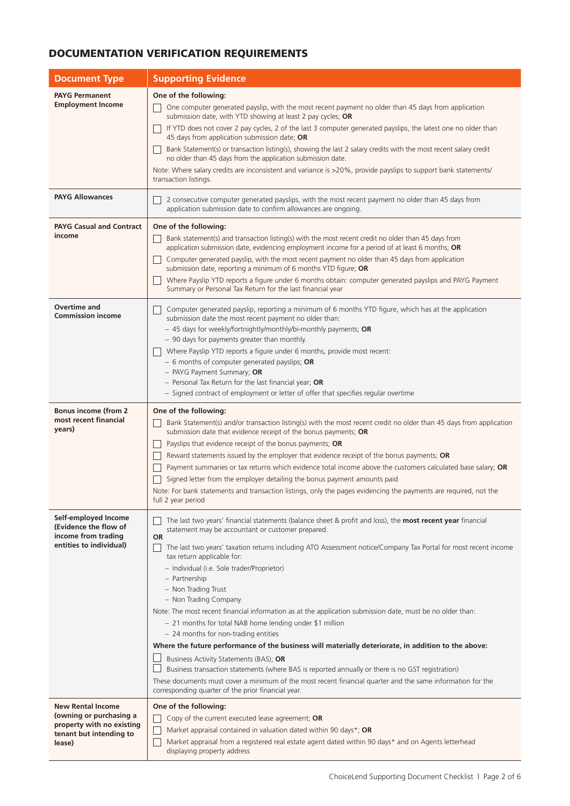### DOCUMENTATION VERIFICATION REQUIREMENTS

| <b>Document Type</b>                                 | <b>Supporting Evidence</b>                                                                                                                                                                             |  |  |
|------------------------------------------------------|--------------------------------------------------------------------------------------------------------------------------------------------------------------------------------------------------------|--|--|
| <b>PAYG Permanent</b>                                | One of the following:                                                                                                                                                                                  |  |  |
| <b>Employment Income</b>                             | One computer generated payslip, with the most recent payment no older than 45 days from application<br>submission date, with YTD showing at least 2 pay cycles; OR                                     |  |  |
|                                                      | If YTD does not cover 2 pay cycles, 2 of the last 3 computer generated payslips, the latest one no older than<br>45 days from application submission date; OR                                          |  |  |
|                                                      | Bank Statement(s) or transaction listing(s), showing the last 2 salary credits with the most recent salary credit<br>no older than 45 days from the application submission date.                       |  |  |
|                                                      | Note: Where salary credits are inconsistent and variance is >20%, provide payslips to support bank statements/<br>transaction listings.                                                                |  |  |
| <b>PAYG Allowances</b>                               | 2 consecutive computer generated payslips, with the most recent payment no older than 45 days from<br>application submission date to confirm allowances are ongoing.                                   |  |  |
| <b>PAYG Casual and Contract</b>                      | One of the following:                                                                                                                                                                                  |  |  |
| income                                               | Bank statement(s) and transaction listing(s) with the most recent credit no older than 45 days from<br>application submission date, evidencing employment income for a period of at least 6 months; OR |  |  |
|                                                      | Computer generated payslip, with the most recent payment no older than 45 days from application<br>submission date, reporting a minimum of 6 months YTD figure; OR                                     |  |  |
|                                                      | Where Payslip YTD reports a figure under 6 months obtain: computer generated payslips and PAYG Payment<br>Summary or Personal Tax Return for the last financial year                                   |  |  |
| <b>Overtime and</b><br><b>Commission income</b>      | Computer generated payslip, reporting a minimum of 6 months YTD figure, which has at the application<br>submission date the most recent payment no older than:                                         |  |  |
|                                                      | - 45 days for weekly/fortnightly/monthly/bi-monthly payments; OR<br>- 90 days for payments greater than monthly.                                                                                       |  |  |
|                                                      | Where Payslip YTD reports a figure under 6 months, provide most recent:<br>$-6$ months of computer generated payslips; OR                                                                              |  |  |
|                                                      | - PAYG Payment Summary; OR                                                                                                                                                                             |  |  |
|                                                      | $-$ Personal Tax Return for the last financial year; OR<br>- Signed contract of employment or letter of offer that specifies regular overtime                                                          |  |  |
| <b>Bonus income (from 2</b>                          | One of the following:                                                                                                                                                                                  |  |  |
| most recent financial<br>years)                      | Bank Statement(s) and/or transaction listing(s) with the most recent credit no older than 45 days from application                                                                                     |  |  |
|                                                      | submission date that evidence receipt of the bonus payments; OR<br>Payslips that evidence receipt of the bonus payments; OR                                                                            |  |  |
|                                                      | Reward statements issued by the employer that evidence receipt of the bonus payments; OR                                                                                                               |  |  |
|                                                      | Payment summaries or tax returns which evidence total income above the customers calculated base salary; OR                                                                                            |  |  |
|                                                      | Signed letter from the employer detailing the bonus payment amounts paid<br>Note: For bank statements and transaction listings, only the pages evidencing the payments are required, not the           |  |  |
|                                                      | full 2 year period                                                                                                                                                                                     |  |  |
| Self-employed Income<br>(Evidence the flow of        | The last two years' financial statements (balance sheet & profit and loss), the most recent year financial                                                                                             |  |  |
| income from trading                                  | statement may be accountant or customer prepared.<br>OR                                                                                                                                                |  |  |
| entities to individual)                              | The last two years' taxation returns including ATO Assessment notice/Company Tax Portal for most recent income<br>tax return applicable for:                                                           |  |  |
|                                                      | - Individual (i.e. Sole trader/Proprietor)                                                                                                                                                             |  |  |
|                                                      | - Partnership<br>- Non Trading Trust                                                                                                                                                                   |  |  |
|                                                      | - Non Trading Company                                                                                                                                                                                  |  |  |
|                                                      | Note: The most recent financial information as at the application submission date, must be no older than:                                                                                              |  |  |
|                                                      | - 21 months for total NAB home lending under \$1 million<br>- 24 months for non-trading entities                                                                                                       |  |  |
|                                                      | Where the future performance of the business will materially deteriorate, in addition to the above:                                                                                                    |  |  |
|                                                      | Business Activity Statements (BAS); OR<br>Business transaction statements (where BAS is reported annually or there is no GST registration)                                                             |  |  |
|                                                      | These documents must cover a minimum of the most recent financial quarter and the same information for the<br>corresponding quarter of the prior financial year.                                       |  |  |
| <b>New Rental Income</b>                             | One of the following:                                                                                                                                                                                  |  |  |
| (owning or purchasing a<br>property with no existing | Copy of the current executed lease agreement; OR                                                                                                                                                       |  |  |
| tenant but intending to<br>lease)                    | Market appraisal contained in valuation dated within 90 days*; OR<br>Market appraisal from a registered real estate agent dated within 90 days* and on Agents letterhead                               |  |  |
|                                                      | displaying property address                                                                                                                                                                            |  |  |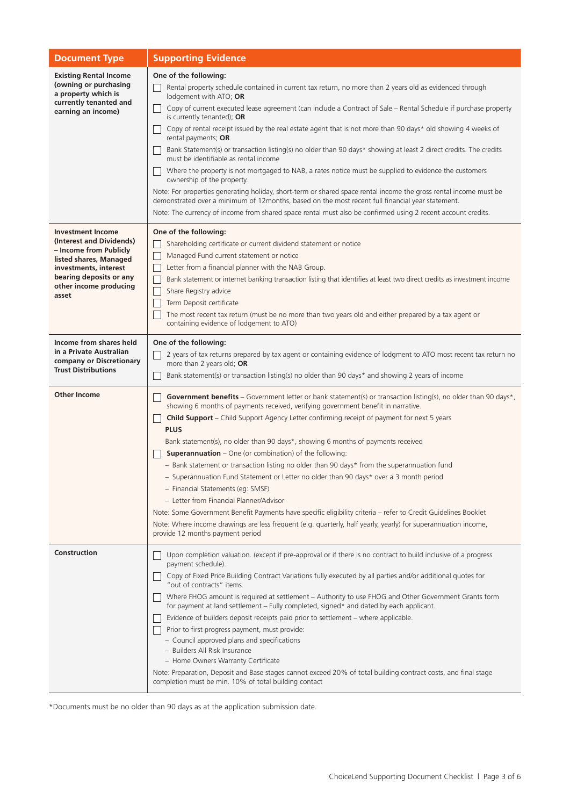| <b>Document Type</b>                                                                                                                                                                            | <b>Supporting Evidence</b>                                                                                                                                                                                                                                                                                                                                                                                                                                                                                                                                                                                                                                                                                                                                                                                                                                                                                                                                                                                                                                                                       |  |  |
|-------------------------------------------------------------------------------------------------------------------------------------------------------------------------------------------------|--------------------------------------------------------------------------------------------------------------------------------------------------------------------------------------------------------------------------------------------------------------------------------------------------------------------------------------------------------------------------------------------------------------------------------------------------------------------------------------------------------------------------------------------------------------------------------------------------------------------------------------------------------------------------------------------------------------------------------------------------------------------------------------------------------------------------------------------------------------------------------------------------------------------------------------------------------------------------------------------------------------------------------------------------------------------------------------------------|--|--|
| <b>Existing Rental Income</b><br>(owning or purchasing<br>a property which is<br>currently tenanted and<br>earning an income)                                                                   | One of the following:<br>Rental property schedule contained in current tax return, no more than 2 years old as evidenced through<br>lodgement with ATO; OR<br>Copy of current executed lease agreement (can include a Contract of Sale – Rental Schedule if purchase property<br>is currently tenanted); OR<br>Copy of rental receipt issued by the real estate agent that is not more than 90 days* old showing 4 weeks of<br>rental payments; OR<br>Bank Statement(s) or transaction listing(s) no older than 90 days* showing at least 2 direct credits. The credits<br>must be identifiable as rental income<br>Where the property is not mortgaged to NAB, a rates notice must be supplied to evidence the customers<br>ownership of the property.<br>Note: For properties generating holiday, short-term or shared space rental income the gross rental income must be<br>demonstrated over a minimum of 12months, based on the most recent full financial year statement.<br>Note: The currency of income from shared space rental must also be confirmed using 2 recent account credits. |  |  |
| <b>Investment Income</b><br>(Interest and Dividends)<br>– Income from Publicly<br>listed shares, Managed<br>investments, interest<br>bearing deposits or any<br>other income producing<br>asset | One of the following:<br>Shareholding certificate or current dividend statement or notice<br>Managed Fund current statement or notice<br>Letter from a financial planner with the NAB Group.<br>Bank statement or internet banking transaction listing that identifies at least two direct credits as investment income<br>Share Registry advice<br>Term Deposit certificate<br>The most recent tax return (must be no more than two years old and either prepared by a tax agent or<br>containing evidence of lodgement to ATO)                                                                                                                                                                                                                                                                                                                                                                                                                                                                                                                                                                 |  |  |
| Income from shares held<br>in a Private Australian<br>company or Discretionary<br><b>Trust Distributions</b>                                                                                    | One of the following:<br>2 years of tax returns prepared by tax agent or containing evidence of lodgment to ATO most recent tax return no<br>more than 2 years old; OR<br>Bank statement(s) or transaction listing(s) no older than 90 days* and showing 2 years of income                                                                                                                                                                                                                                                                                                                                                                                                                                                                                                                                                                                                                                                                                                                                                                                                                       |  |  |
| <b>Other Income</b>                                                                                                                                                                             | Government benefits – Government letter or bank statement(s) or transaction listing(s), no older than 90 days*,<br>showing 6 months of payments received, verifying government benefit in narrative.<br><b>Child Support</b> – Child Support Agency Letter confirming receipt of payment for next 5 years<br><b>PLUS</b><br>Bank statement(s), no older than 90 days*, showing 6 months of payments received<br><b>Superannuation</b> – One (or combination) of the following:<br>- Bank statement or transaction listing no older than 90 days* from the superannuation fund<br>Superannuation Fund Statement or Letter no older than 90 days* over a 3 month period<br>- Financial Statements (eg: SMSF)<br>- Letter from Financial Planner/Advisor<br>Note: Some Government Benefit Payments have specific eligibility criteria - refer to Credit Guidelines Booklet<br>Note: Where income drawings are less frequent (e.g. quarterly, half yearly, yearly) for superannuation income,<br>provide 12 months payment period                                                                    |  |  |
| Construction                                                                                                                                                                                    | Upon completion valuation. (except if pre-approval or if there is no contract to build inclusive of a progress<br>payment schedule).<br>Copy of Fixed Price Building Contract Variations fully executed by all parties and/or additional quotes for<br>"out of contracts" items.<br>Where FHOG amount is required at settlement - Authority to use FHOG and Other Government Grants form<br>for payment at land settlement - Fully completed, signed* and dated by each applicant.<br>Evidence of builders deposit receipts paid prior to settlement - where applicable.<br>Prior to first progress payment, must provide:<br>- Council approved plans and specifications<br>- Builders All Risk Insurance<br>- Home Owners Warranty Certificate<br>Note: Preparation, Deposit and Base stages cannot exceed 20% of total building contract costs, and final stage<br>completion must be min. 10% of total building contact                                                                                                                                                                      |  |  |

\*Documents must be no older than 90 days as at the application submission date.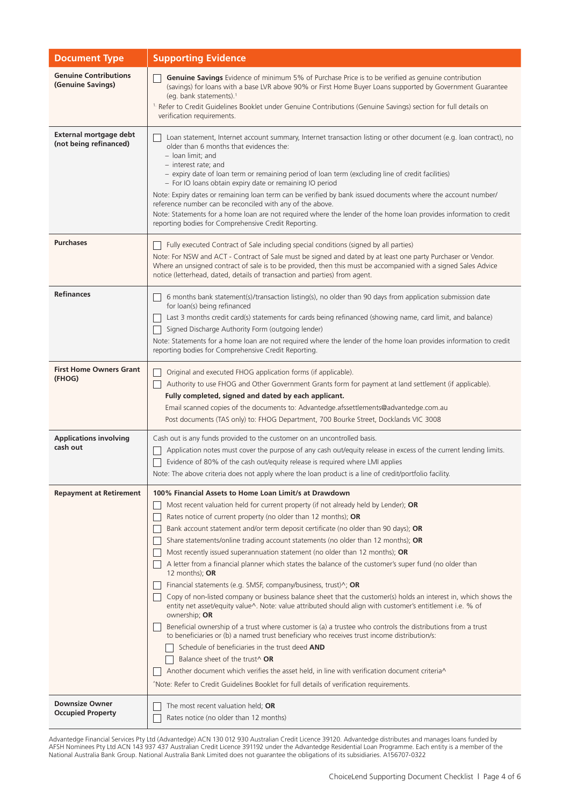| <b>Document Type</b>                              | <b>Supporting Evidence</b>                                                                                                                                                                                                                                                                                                                                                                                                                                                                                                                                                                                                                                                                                                                                                                                                                                                                                                                                                                                                                                                                                                                                                                                                                                                                                                                                                                                                                                                                              |  |
|---------------------------------------------------|---------------------------------------------------------------------------------------------------------------------------------------------------------------------------------------------------------------------------------------------------------------------------------------------------------------------------------------------------------------------------------------------------------------------------------------------------------------------------------------------------------------------------------------------------------------------------------------------------------------------------------------------------------------------------------------------------------------------------------------------------------------------------------------------------------------------------------------------------------------------------------------------------------------------------------------------------------------------------------------------------------------------------------------------------------------------------------------------------------------------------------------------------------------------------------------------------------------------------------------------------------------------------------------------------------------------------------------------------------------------------------------------------------------------------------------------------------------------------------------------------------|--|
| <b>Genuine Contributions</b><br>(Genuine Savings) | Genuine Savings Evidence of minimum 5% of Purchase Price is to be verified as genuine contribution<br>(savings) for loans with a base LVR above 90% or First Home Buyer Loans supported by Government Guarantee<br>(eg. bank statements). <sup>1</sup><br><sup>1.</sup> Refer to Credit Guidelines Booklet under Genuine Contributions (Genuine Savings) section for full details on<br>verification requirements.                                                                                                                                                                                                                                                                                                                                                                                                                                                                                                                                                                                                                                                                                                                                                                                                                                                                                                                                                                                                                                                                                      |  |
| External mortgage debt<br>(not being refinanced)  | Loan statement, Internet account summary, Internet transaction listing or other document (e.g. loan contract), no<br>older than 6 months that evidences the:<br>- loan limit: and<br>- interest rate; and<br>- expiry date of loan term or remaining period of loan term (excluding line of credit facilities)<br>- For IO loans obtain expiry date or remaining IO period<br>Note: Expiry dates or remaining loan term can be verified by bank issued documents where the account number/<br>reference number can be reconciled with any of the above.<br>Note: Statements for a home loan are not required where the lender of the home loan provides information to credit<br>reporting bodies for Comprehensive Credit Reporting.                                                                                                                                                                                                                                                                                                                                                                                                                                                                                                                                                                                                                                                                                                                                                                   |  |
| <b>Purchases</b>                                  | Fully executed Contract of Sale including special conditions (signed by all parties)<br>Note: For NSW and ACT - Contract of Sale must be signed and dated by at least one party Purchaser or Vendor.<br>Where an unsigned contract of sale is to be provided, then this must be accompanied with a signed Sales Advice<br>notice (letterhead, dated, details of transaction and parties) from agent.                                                                                                                                                                                                                                                                                                                                                                                                                                                                                                                                                                                                                                                                                                                                                                                                                                                                                                                                                                                                                                                                                                    |  |
| <b>Refinances</b>                                 | 6 months bank statement(s)/transaction listing(s), no older than 90 days from application submission date<br>for loan(s) being refinanced<br>Last 3 months credit card(s) statements for cards being refinanced (showing name, card limit, and balance)<br>Signed Discharge Authority Form (outgoing lender)<br>Note: Statements for a home loan are not required where the lender of the home loan provides information to credit<br>reporting bodies for Comprehensive Credit Reporting.                                                                                                                                                                                                                                                                                                                                                                                                                                                                                                                                                                                                                                                                                                                                                                                                                                                                                                                                                                                                              |  |
| <b>First Home Owners Grant</b><br>(FHOG)          | Original and executed FHOG application forms (if applicable).<br>Authority to use FHOG and Other Government Grants form for payment at land settlement (if applicable).<br>Fully completed, signed and dated by each applicant.<br>Email scanned copies of the documents to: Advantedge.afssettlements@advantedge.com.au<br>Post documents (TAS only) to: FHOG Department, 700 Bourke Street, Docklands VIC 3008                                                                                                                                                                                                                                                                                                                                                                                                                                                                                                                                                                                                                                                                                                                                                                                                                                                                                                                                                                                                                                                                                        |  |
| <b>Applications involving</b><br>cash out         | Cash out is any funds provided to the customer on an uncontrolled basis.<br>Application notes must cover the purpose of any cash out/equity release in excess of the current lending limits.<br>Evidence of 80% of the cash out/equity release is required where LMI applies<br>Note: The above criteria does not apply where the loan product is a line of credit/portfolio facility.                                                                                                                                                                                                                                                                                                                                                                                                                                                                                                                                                                                                                                                                                                                                                                                                                                                                                                                                                                                                                                                                                                                  |  |
| <b>Repayment at Retirement</b>                    | 100% Financial Assets to Home Loan Limit/s at Drawdown<br>Most recent valuation held for current property (if not already held by Lender); OR<br>Rates notice of current property (no older than 12 months); OR<br>Bank account statement and/or term deposit certificate (no older than 90 days); OR<br>Share statements/online trading account statements (no older than 12 months); OR<br>Most recently issued superannuation statement (no older than 12 months); OR<br>A letter from a financial planner which states the balance of the customer's super fund (no older than<br>12 months); OR<br>Financial statements (e.g. SMSF, company/business, trust) $\wedge$ ; OR<br>Copy of non-listed company or business balance sheet that the customer(s) holds an interest in, which shows the<br>entity net asset/equity value <sup><math>\land</math></sup> . Note: value attributed should align with customer's entitlement i.e. % of<br>ownership; OR<br>Beneficial ownership of a trust where customer is (a) a trustee who controls the distributions from a trust<br>to beneficiaries or (b) a named trust beneficiary who receives trust income distribution/s:<br>Schedule of beneficiaries in the trust deed AND<br>Balance sheet of the trust^ OR<br>Another document which verifies the asset held, in line with verification document criteria <sup><math>\wedge</math></sup><br><sup>^</sup> Note: Refer to Credit Guidelines Booklet for full details of verification requirements. |  |
| <b>Downsize Owner</b><br><b>Occupied Property</b> | The most recent valuation held; OR<br>Rates notice (no older than 12 months)                                                                                                                                                                                                                                                                                                                                                                                                                                                                                                                                                                                                                                                                                                                                                                                                                                                                                                                                                                                                                                                                                                                                                                                                                                                                                                                                                                                                                            |  |

Advantedge Financial Services Pty Ltd (Advantedge) ACN 130 012 930 Australian Credit Licence 39120. Advantedge distributes and manages loans funded by AFSH Nominees Pty Ltd ACN 143 937 437 Australian Credit Licence 391192 under the Advantedge Residential Loan Programme. Each entity is a member of the National Australia Bank Group. National Australia Bank Limited does not guarantee the obligations of its subsidiaries. A156707-0322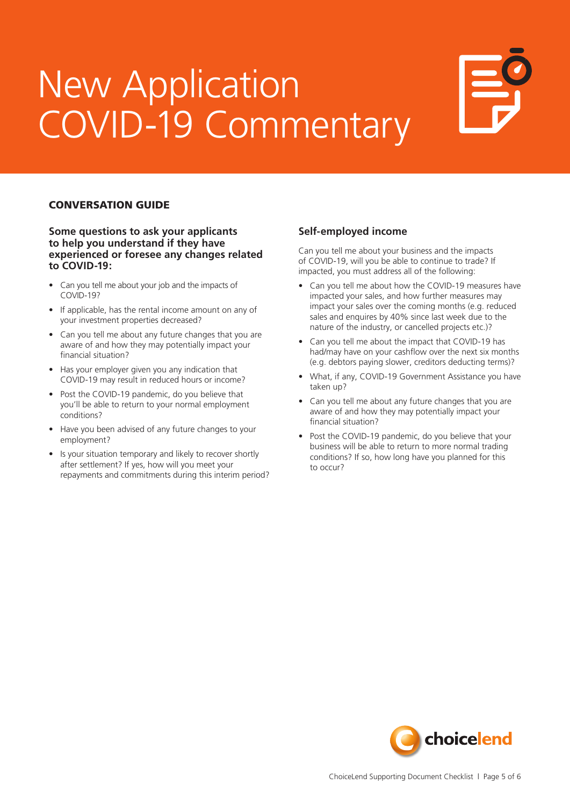# New Application COVID-19 Commentary



### CONVERSATION GUIDE

**Some questions to ask your applicants to help you understand if they have experienced or foresee any changes related to COVID-19:**

- Can you tell me about your job and the impacts of COVID-19?
- If applicable, has the rental income amount on any of your investment properties decreased?
- Can you tell me about any future changes that you are aware of and how they may potentially impact your financial situation?
- Has your employer given you any indication that COVID-19 may result in reduced hours or income?
- Post the COVID-19 pandemic, do you believe that you'll be able to return to your normal employment conditions?
- Have you been advised of any future changes to your employment?
- Is your situation temporary and likely to recover shortly after settlement? If yes, how will you meet your repayments and commitments during this interim period?

### **Self-employed income**

Can you tell me about your business and the impacts of COVID-19, will you be able to continue to trade? If impacted, you must address all of the following:

- Can you tell me about how the COVID-19 measures have impacted your sales, and how further measures may impact your sales over the coming months (e.g. reduced sales and enquires by 40% since last week due to the nature of the industry, or cancelled projects etc.)?
- Can you tell me about the impact that COVID-19 has had/may have on your cashflow over the next six months (e.g. debtors paying slower, creditors deducting terms)?
- What, if any, COVID-19 Government Assistance you have taken up?
- Can you tell me about any future changes that you are aware of and how they may potentially impact your financial situation?
- Post the COVID-19 pandemic, do you believe that your business will be able to return to more normal trading conditions? If so, how long have you planned for this to occur?